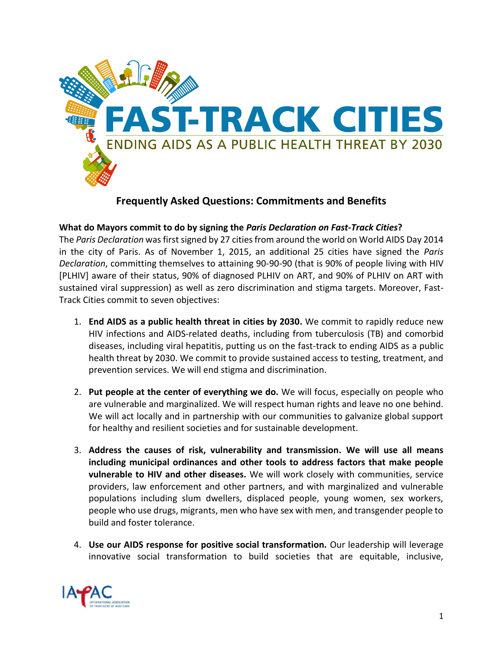

## **Frequently Asked Questions: Commitments and Benefits**

## **What do Mayors commit to do by signing the** *Paris Declaration on Fast-Track Cities***?**

The *Paris Declaration* was first signed by 27 cities from around the world on World AIDS Day 2014 in the city of Paris. As of November 1, 2015, an additional 25 cities have signed the *Paris Declaration*, committing themselves to attaining 90-90-90 (that is 90% of people living with HIV [PLHIV] aware of their status, 90% of diagnosed PLHIV on ART, and 90% of PLHIV on ART with sustained viral suppression) as well as zero discrimination and stigma targets. Moreover, Fast-Track Cities commit to seven objectives:

- 1. **End AIDS as a public health threat in cities by 2030.** We commit to rapidly reduce new HIV infections and AIDS-related deaths, including from tuberculosis (TB) and comorbid diseases, including viral hepatitis, putting us on the fast-track to ending AIDS as a public health threat by 2030. We commit to provide sustained access to testing, treatment, and prevention services. We will end stigma and discrimination.
- 2. **Put people at the center of everything we do.** We will focus, especially on people who are vulnerable and marginalized. We will respect human rights and leave no one behind. We will act locally and in partnership with our communities to galvanize global support for healthy and resilient societies and for sustainable development.
- 3. **Address the causes of risk, vulnerability and transmission. We will use all means including municipal ordinances and other tools to address factors that make people vulnerable to HIV and other diseases.** We will work closely with communities, service providers, law enforcement and other partners, and with marginalized and vulnerable populations including slum dwellers, displaced people, young women, sex workers, people who use drugs, migrants, men who have sex with men, and transgender people to build and foster tolerance.
- 4. **Use our AIDS response for positive social transformation.** Our leadership will leverage innovative social transformation to build societies that are equitable, inclusive,

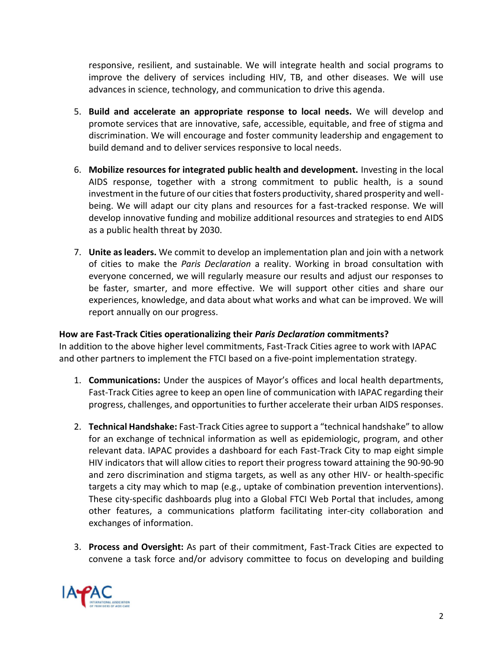responsive, resilient, and sustainable. We will integrate health and social programs to improve the delivery of services including HIV, TB, and other diseases. We will use advances in science, technology, and communication to drive this agenda.

- 5. **Build and accelerate an appropriate response to local needs.** We will develop and promote services that are innovative, safe, accessible, equitable, and free of stigma and discrimination. We will encourage and foster community leadership and engagement to build demand and to deliver services responsive to local needs.
- 6. **Mobilize resources for integrated public health and development.** Investing in the local AIDS response, together with a strong commitment to public health, is a sound investment in the future of our cities that fosters productivity, shared prosperity and wellbeing. We will adapt our city plans and resources for a fast-tracked response. We will develop innovative funding and mobilize additional resources and strategies to end AIDS as a public health threat by 2030.
- 7. **Unite as leaders.** We commit to develop an implementation plan and join with a network of cities to make the *Paris Declaration* a reality. Working in broad consultation with everyone concerned, we will regularly measure our results and adjust our responses to be faster, smarter, and more effective. We will support other cities and share our experiences, knowledge, and data about what works and what can be improved. We will report annually on our progress.

## **How are Fast-Track Cities operationalizing their** *Paris Declaration* **commitments?**

In addition to the above higher level commitments, Fast-Track Cities agree to work with IAPAC and other partners to implement the FTCI based on a five-point implementation strategy.

- 1. **Communications:** Under the auspices of Mayor's offices and local health departments, Fast-Track Cities agree to keep an open line of communication with IAPAC regarding their progress, challenges, and opportunities to further accelerate their urban AIDS responses.
- 2. **Technical Handshake:** Fast-Track Cities agree to support a "technical handshake" to allow for an exchange of technical information as well as epidemiologic, program, and other relevant data. IAPAC provides a dashboard for each Fast-Track City to map eight simple HIV indicators that will allow cities to report their progress toward attaining the 90-90-90 and zero discrimination and stigma targets, as well as any other HIV- or health-specific targets a city may which to map (e.g., uptake of combination prevention interventions). These city-specific dashboards plug into a Global FTCI Web Portal that includes, among other features, a communications platform facilitating inter-city collaboration and exchanges of information.
- 3. **Process and Oversight:** As part of their commitment, Fast-Track Cities are expected to convene a task force and/or advisory committee to focus on developing and building

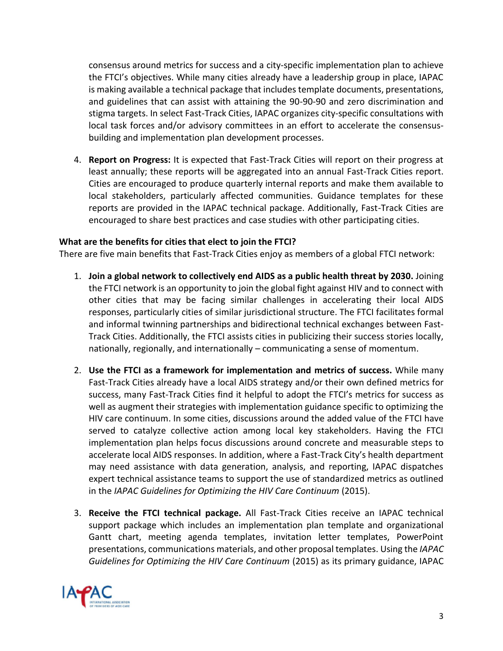consensus around metrics for success and a city-specific implementation plan to achieve the FTCI's objectives. While many cities already have a leadership group in place, IAPAC is making available a technical package that includes template documents, presentations, and guidelines that can assist with attaining the 90-90-90 and zero discrimination and stigma targets. In select Fast-Track Cities, IAPAC organizes city-specific consultations with local task forces and/or advisory committees in an effort to accelerate the consensusbuilding and implementation plan development processes.

4. **Report on Progress:** It is expected that Fast-Track Cities will report on their progress at least annually; these reports will be aggregated into an annual Fast-Track Cities report. Cities are encouraged to produce quarterly internal reports and make them available to local stakeholders, particularly affected communities. Guidance templates for these reports are provided in the IAPAC technical package. Additionally, Fast-Track Cities are encouraged to share best practices and case studies with other participating cities.

## **What are the benefits for cities that elect to join the FTCI?**

There are five main benefits that Fast-Track Cities enjoy as members of a global FTCI network:

- 1. **Join a global network to collectively end AIDS as a public health threat by 2030.** Joining the FTCI network is an opportunity to join the global fight against HIV and to connect with other cities that may be facing similar challenges in accelerating their local AIDS responses, particularly cities of similar jurisdictional structure. The FTCI facilitates formal and informal twinning partnerships and bidirectional technical exchanges between Fast-Track Cities. Additionally, the FTCI assists cities in publicizing their success stories locally, nationally, regionally, and internationally – communicating a sense of momentum.
- 2. **Use the FTCI as a framework for implementation and metrics of success.** While many Fast-Track Cities already have a local AIDS strategy and/or their own defined metrics for success, many Fast-Track Cities find it helpful to adopt the FTCI's metrics for success as well as augment their strategies with implementation guidance specific to optimizing the HIV care continuum. In some cities, discussions around the added value of the FTCI have served to catalyze collective action among local key stakeholders. Having the FTCI implementation plan helps focus discussions around concrete and measurable steps to accelerate local AIDS responses. In addition, where a Fast-Track City's health department may need assistance with data generation, analysis, and reporting, IAPAC dispatches expert technical assistance teams to support the use of standardized metrics as outlined in the *IAPAC Guidelines for Optimizing the HIV Care Continuum* (2015).
- 3. **Receive the FTCI technical package.** All Fast-Track Cities receive an IAPAC technical support package which includes an implementation plan template and organizational Gantt chart, meeting agenda templates, invitation letter templates, PowerPoint presentations, communications materials, and other proposal templates. Using the *IAPAC Guidelines for Optimizing the HIV Care Continuum* (2015) as its primary guidance, IAPAC